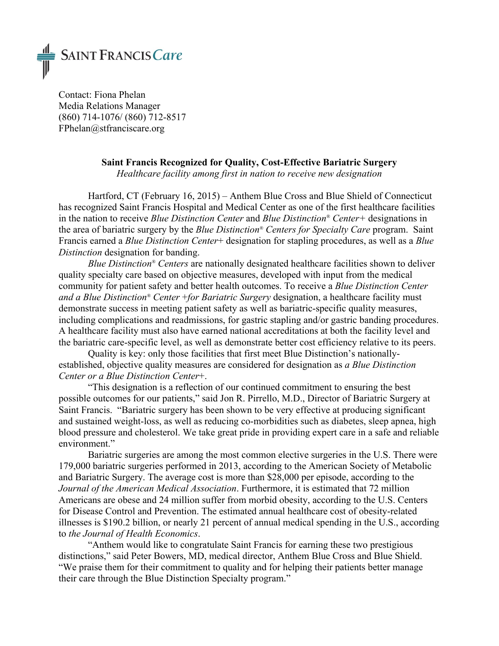

Contact: Fiona Phelan Media Relations Manager (860) 714-1076/ (860) 712-8517 FPhelan@stfranciscare.org

# **Saint Francis Recognized for Quality, Cost-Effective Bariatric Surgery**

*Healthcare facility among first in nation to receive new designation* 

Hartford, CT (February 16, 2015) – Anthem Blue Cross and Blue Shield of Connecticut has recognized Saint Francis Hospital and Medical Center as one of the first healthcare facilities in the nation to receive *Blue Distinction Center* and *Blue Distinction® Center+* designations in the area of bariatric surgery by the *Blue Distinction® Centers for Specialty Care* program. Saint Francis earned a *Blue Distinction Center*+ designation for stapling procedures, as well as a *Blue Distinction* designation for banding.

*Blue Distinction® Centers* are nationally designated healthcare facilities shown to deliver quality specialty care based on objective measures, developed with input from the medical community for patient safety and better health outcomes. To receive a *Blue Distinction Center and a Blue Distinction® Center* +*for Bariatric Surgery* designation, a healthcare facility must demonstrate success in meeting patient safety as well as bariatric-specific quality measures, including complications and readmissions, for gastric stapling and/or gastric banding procedures. A healthcare facility must also have earned national accreditations at both the facility level and the bariatric care-specific level, as well as demonstrate better cost efficiency relative to its peers.

Quality is key: only those facilities that first meet Blue Distinction's nationallyestablished, objective quality measures are considered for designation as *a Blue Distinction Center or a Blue Distinction Center*+.

"This designation is a reflection of our continued commitment to ensuring the best possible outcomes for our patients," said Jon R. Pirrello, M.D., Director of Bariatric Surgery at Saint Francis. "Bariatric surgery has been shown to be very effective at producing significant and sustained weight-loss, as well as reducing co-morbidities such as diabetes, sleep apnea, high blood pressure and cholesterol. We take great pride in providing expert care in a safe and reliable environment."

Bariatric surgeries are among the most common elective surgeries in the U.S. There were 179,000 bariatric surgeries performed in 2013, according to the American Society of Metabolic and Bariatric Surgery. The average cost is more than \$28,000 per episode, according to the *Journal of the American Medical Association*. Furthermore, it is estimated that 72 million Americans are obese and 24 million suffer from morbid obesity, according to the U.S. Centers for Disease Control and Prevention. The estimated annual healthcare cost of obesity-related illnesses is \$190.2 billion, or nearly 21 percent of annual medical spending in the U.S., according to *the Journal of Health Economics*.

"Anthem would like to congratulate Saint Francis for earning these two prestigious distinctions," said Peter Bowers, MD, medical director, Anthem Blue Cross and Blue Shield. "We praise them for their commitment to quality and for helping their patients better manage their care through the Blue Distinction Specialty program."